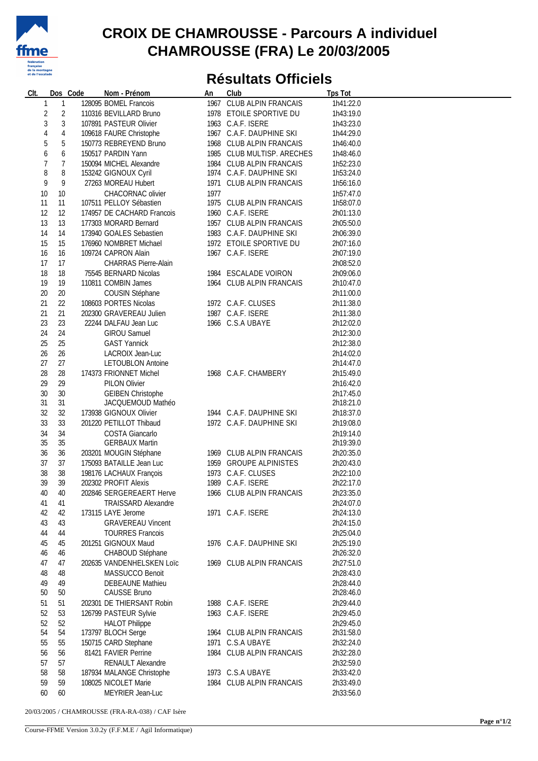

## **CROIX DE CHAMROUSSE - Parcours A individuel CHAMROUSSE (FRA) Le 20/03/2005**

## **Résultats Officiels**

| CIt.   | Dos Code       | Nom - Prénom                | An   | Club                       | <b>Tps Tot</b> |  |
|--------|----------------|-----------------------------|------|----------------------------|----------------|--|
| 1      | 1              | 128095 BOMEL Francois       |      | 1967 CLUB ALPIN FRANCAIS   | 1h41:22.0      |  |
| 2      | $\overline{c}$ | 110316 BEVILLARD Bruno      |      | 1978 ETOILE SPORTIVE DU    | 1h43:19.0      |  |
| 3      | $\sqrt{3}$     | 107891 PASTEUR Olivier      |      | 1963 C.A.F. ISERE          | 1h43:23.0      |  |
| 4      | $\overline{4}$ | 109618 FAURE Christophe     |      | 1967 C.A.F. DAUPHINE SKI   | 1h44:29.0      |  |
| 5      | 5              | 150773 REBREYEND Bruno      |      | 1968 CLUB ALPIN FRANCAIS   | 1h46:40.0      |  |
|        |                |                             |      |                            |                |  |
| 6      | 6              | 150517 PARDIN Yann          |      | 1985 CLUB MULTISP. ARECHES | 1h48:46.0      |  |
| 7      | 7              | 150094 MICHEL Alexandre     |      | 1984 CLUB ALPIN FRANCAIS   | 1h52:23.0      |  |
| 8      | 8              | 153242 GIGNOUX Cyril        |      | 1974 C.A.F. DAUPHINE SKI   | 1h53:24.0      |  |
| 9      | 9              | 27263 MOREAU Hubert         |      | 1971 CLUB ALPIN FRANCAIS   | 1h56:16.0      |  |
| $10$   | 10             | CHACORNAC olivier           | 1977 |                            | 1h57:47.0      |  |
| 11     | 11             | 107511 PELLOY Sébastien     |      | 1975 CLUB ALPIN FRANCAIS   | 1h58:07.0      |  |
| 12     | 12             | 174957 DE CACHARD Francois  |      | 1960 C.A.F. ISERE          | 2h01:13.0      |  |
| 13     | 13             | 177303 MORARD Bernard       |      | 1957 CLUB ALPIN FRANCAIS   | 2h05:50.0      |  |
| 14     | 14             | 173940 GOALES Sebastien     |      | 1983 C.A.F. DAUPHINE SKI   | 2h06:39.0      |  |
| 15     | 15             | 176960 NOMBRET Michael      |      | 1972 ETOILE SPORTIVE DU    | 2h07:16.0      |  |
| 16     | 16             |                             |      | 1967 C.A.F. ISERE          | 2h07:19.0      |  |
|        |                | 109724 CAPRON Alain         |      |                            |                |  |
| 17     | 17             | <b>CHARRAS Pierre-Alain</b> |      |                            | 2h08:52.0      |  |
| 18     | 18             | 75545 BERNARD Nicolas       |      | 1984 ESCALADE VOIRON       | 2h09:06.0      |  |
| 19     | 19             | 110811 COMBIN James         |      | 1964 CLUB ALPIN FRANCAIS   | 2h10:47.0      |  |
| $20\,$ | 20             | COUSIN Stéphane             |      |                            | 2h11:00.0      |  |
| 21     | 22             | 108603 PORTES Nicolas       |      | 1972 C.A.F. CLUSES         | 2h11:38.0      |  |
| 21     | 21             | 202300 GRAVEREAU Julien     |      | 1987 C.A.F. ISERE          | 2h11:38.0      |  |
| 23     | 23             | 22244 DALFAU Jean Luc       |      | 1966 C.S.A UBAYE           | 2h12:02.0      |  |
| 24     | 24             | <b>GIROU Samuel</b>         |      |                            | 2h12:30.0      |  |
| 25     | 25             | <b>GAST Yannick</b>         |      |                            | 2h12:38.0      |  |
| 26     | 26             | LACROIX Jean-Luc            |      |                            | 2h14:02.0      |  |
| 27     | 27             |                             |      |                            |                |  |
|        |                | <b>LETOUBLON Antoine</b>    |      |                            | 2h14:47.0      |  |
| 28     | 28             | 174373 FRIONNET Michel      |      | 1968 C.A.F. CHAMBERY       | 2h15:49.0      |  |
| 29     | 29             | <b>PILON Olivier</b>        |      |                            | 2h16:42.0      |  |
| $30\,$ | 30             | <b>GEIBEN Christophe</b>    |      |                            | 2h17:45.0      |  |
| 31     | 31             | JACQUEMOUD Mathéo           |      |                            | 2h18:21.0      |  |
| 32     | 32             | 173938 GIGNOUX Olivier      |      | 1944 C.A.F. DAUPHINE SKI   | 2h18:37.0      |  |
| 33     | 33             | 201220 PETILLOT Thibaud     |      | 1972 C.A.F. DAUPHINE SKI   | 2h19:08.0      |  |
| 34     | 34             | <b>COSTA Giancarlo</b>      |      |                            | 2h19:14.0      |  |
| 35     | 35             | <b>GERBAUX Martin</b>       |      |                            | 2h19:39.0      |  |
| 36     | 36             | 203201 MOUGIN Stéphane      |      | 1969 CLUB ALPIN FRANCAIS   | 2h20:35.0      |  |
| 37     | 37             | 175093 BATAILLE Jean Luc    |      | 1959 GROUPE ALPINISTES     | 2h20:43.0      |  |
| 38     | 38             | 198176 LACHAUX François     |      | 1973 C.A.F. CLUSES         | 2h22:10.0      |  |
| 39     |                | 202302 PROFIT Alexis        |      |                            |                |  |
|        | 39             |                             |      | 1989 C.A.F. ISERE          | 2h22:17.0      |  |
| 40     | 40             | 202846 SERGEREAERT Herve    |      | 1966 CLUB ALPIN FRANCAIS   | 2h23:35.0      |  |
| 41     | 41             | <b>TRAISSARD Alexandre</b>  |      |                            | 2h24:07.0      |  |
| 42     | 42             | 173115 LAYE Jerome          |      | 1971 C.A.F. ISERE          | 2h24:13.0      |  |
| 43     | 43             | <b>GRAVEREAU Vincent</b>    |      |                            | 2h24:15.0      |  |
| 44     | 44             | <b>TOURRES Francois</b>     |      |                            | 2h25:04.0      |  |
| 45     | 45             | 201251 GIGNOUX Maud         |      | 1976 C.A.F. DAUPHINE SKI   | 2h25:19.0      |  |
| 46     | 46             | CHABOUD Stéphane            |      |                            | 2h26:32.0      |  |
| 47     | 47             | 202635 VANDENHELSKEN Loïc   |      | 1969 CLUB ALPIN FRANCAIS   | 2h27:51.0      |  |
| 48     | 48             | MASSUCCO Benoit             |      |                            | 2h28:43.0      |  |
| 49     | 49             | <b>DEBEAUNE Mathieu</b>     |      |                            | 2h28:44.0      |  |
|        |                |                             |      |                            |                |  |
| 50     | 50             | CAUSSE Bruno                |      |                            | 2h28:46.0      |  |
| 51     | 51             | 202301 DE THIERSANT Robin   |      | 1988 C.A.F. ISERE          | 2h29:44.0      |  |
| 52     | 53             | 126799 PASTEUR Sylvie       |      | 1963 C.A.F. ISERE          | 2h29:45.0      |  |
| 52     | 52             | <b>HALOT Philippe</b>       |      |                            | 2h29:45.0      |  |
| 54     | 54             | 173797 BLOCH Serge          |      | 1964 CLUB ALPIN FRANCAIS   | 2h31:58.0      |  |
| 55     | 55             | 150715 CARD Stephane        |      | 1971 C.S.A UBAYE           | 2h32:24.0      |  |
| 56     | 56             | 81421 FAVIER Perrine        |      | 1984 CLUB ALPIN FRANCAIS   | 2h32:28.0      |  |
| 57     | 57             | RENAULT Alexandre           |      |                            | 2h32:59.0      |  |
| 58     | 58             | 187934 MALANGE Christophe   |      | 1973 C.S.A UBAYE           | 2h33:42.0      |  |
| 59     | 59             | 108025 NICOLET Marie        |      | 1984 CLUB ALPIN FRANCAIS   | 2h33:49.0      |  |
|        |                |                             |      |                            |                |  |
| 60     | 60             | MEYRIER Jean-Luc            |      |                            | 2h33:56.0      |  |

20/03/2005 / CHAMROUSSE (FRA-RA-038) / CAF Isère